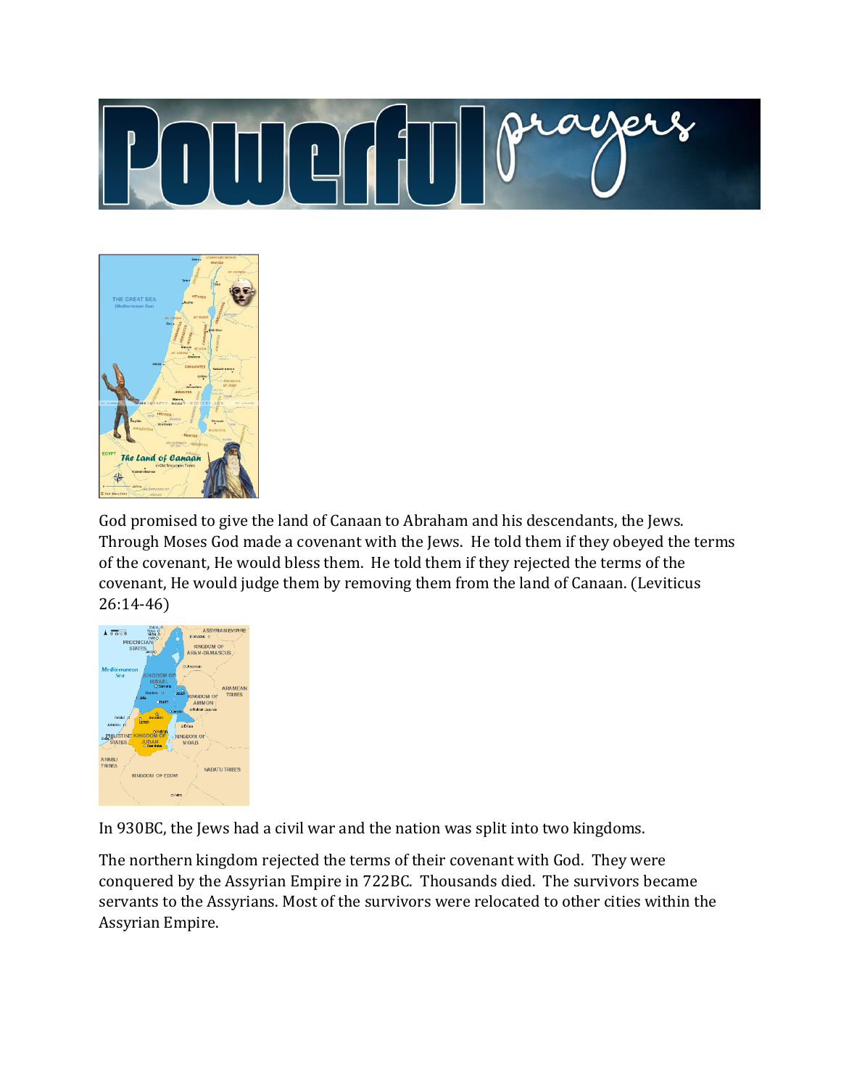



God promised to give the land of Canaan to Abraham and his descendants, the Jews. Through Moses God made a covenant with the Jews. He told them if they obeyed the terms of the covenant, He would bless them. He told them if they rejected the terms of the covenant, He would judge them by removing them from the land of Canaan. (Leviticus 26:14-46)



In 930BC, the Jews had a civil war and the nation was split into two kingdoms.

The northern kingdom rejected the terms of their covenant with God. They were conquered by the Assyrian Empire in 722BC. Thousands died. The survivors became servants to the Assyrians. Most of the survivors were relocated to other cities within the Assyrian Empire.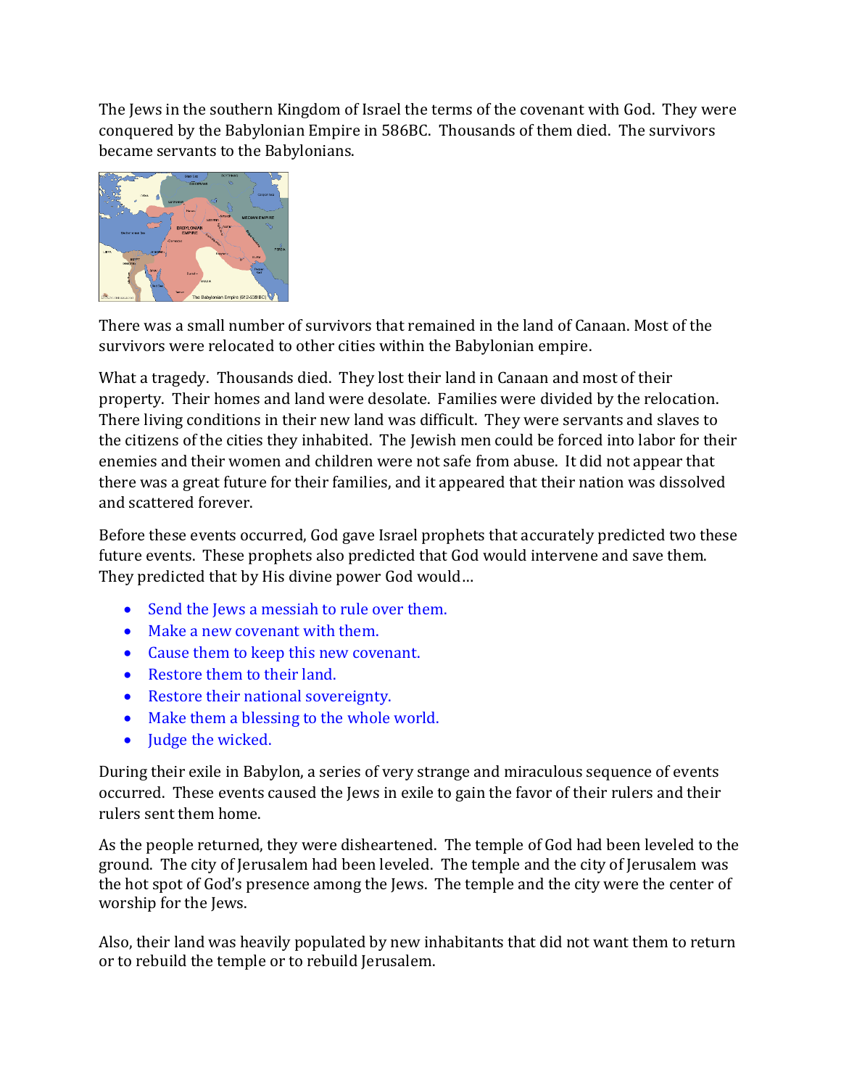The Jews in the southern Kingdom of Israel the terms of the covenant with God. They were conquered by the Babylonian Empire in 586BC. Thousands of them died. The survivors became servants to the Babylonians.



There was a small number of survivors that remained in the land of Canaan. Most of the survivors were relocated to other cities within the Babylonian empire.

What a tragedy. Thousands died. They lost their land in Canaan and most of their property. Their homes and land were desolate. Families were divided by the relocation. There living conditions in their new land was difficult. They were servants and slaves to the citizens of the cities they inhabited. The Jewish men could be forced into labor for their enemies and their women and children were not safe from abuse. It did not appear that there was a great future for their families, and it appeared that their nation was dissolved and scattered forever.

Before these events occurred, God gave Israel prophets that accurately predicted two these future events. These prophets also predicted that God would intervene and save them. They predicted that by His divine power God would…

- Send the Jews a messiah to rule over them.
- Make a new covenant with them.
- Cause them to keep this new covenant.
- Restore them to their land.
- Restore their national sovereignty.
- Make them a blessing to the whole world.
- Judge the wicked.

During their exile in Babylon, a series of very strange and miraculous sequence of events occurred. These events caused the Jews in exile to gain the favor of their rulers and their rulers sent them home.

As the people returned, they were disheartened. The temple of God had been leveled to the ground. The city of Jerusalem had been leveled. The temple and the city of Jerusalem was the hot spot of God's presence among the Jews. The temple and the city were the center of worship for the Jews.

Also, their land was heavily populated by new inhabitants that did not want them to return or to rebuild the temple or to rebuild Jerusalem.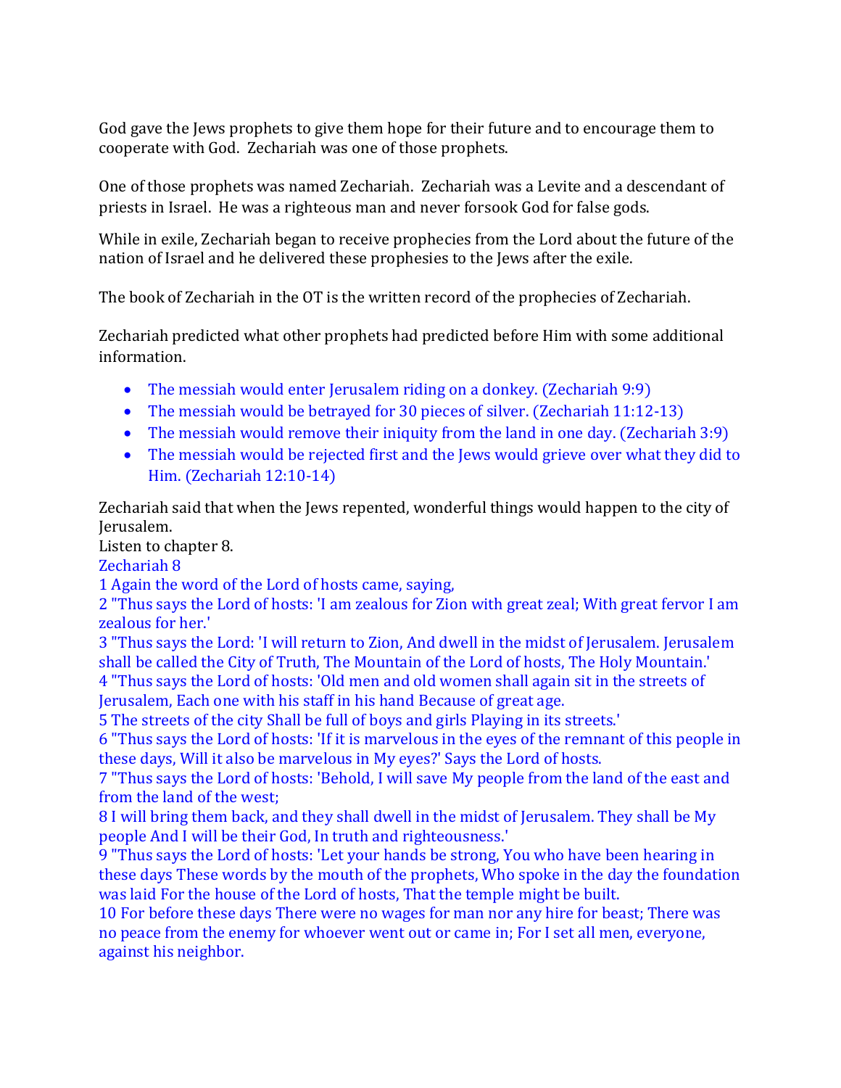God gave the Jews prophets to give them hope for their future and to encourage them to cooperate with God. Zechariah was one of those prophets.

One of those prophets was named Zechariah. Zechariah was a Levite and a descendant of priests in Israel. He was a righteous man and never forsook God for false gods.

While in exile, Zechariah began to receive prophecies from the Lord about the future of the nation of Israel and he delivered these prophesies to the Jews after the exile.

The book of Zechariah in the OT is the written record of the prophecies of Zechariah.

Zechariah predicted what other prophets had predicted before Him with some additional information.

- The messiah would enter Jerusalem riding on a donkey. (Zechariah 9:9)
- The messiah would be betrayed for 30 pieces of silver. (Zechariah 11:12-13)
- The messiah would remove their iniquity from the land in one day. (Zechariah 3:9)
- The messiah would be rejected first and the Jews would grieve over what they did to Him. (Zechariah 12:10-14)

Zechariah said that when the Jews repented, wonderful things would happen to the city of Jerusalem.

Listen to chapter 8.

Zechariah 8

1 Again the word of the Lord of hosts came, saying,

2 "Thus says the Lord of hosts: 'I am zealous for Zion with great zeal; With great fervor I am zealous for her.'

3 "Thus says the Lord: 'I will return to Zion, And dwell in the midst of Jerusalem. Jerusalem shall be called the City of Truth, The Mountain of the Lord of hosts, The Holy Mountain.'

4 "Thus says the Lord of hosts: 'Old men and old women shall again sit in the streets of Jerusalem, Each one with his staff in his hand Because of great age.

5 The streets of the city Shall be full of boys and girls Playing in its streets.'

6 "Thus says the Lord of hosts: 'If it is marvelous in the eyes of the remnant of this people in these days, Will it also be marvelous in My eyes?' Says the Lord of hosts.

7 "Thus says the Lord of hosts: 'Behold, I will save My people from the land of the east and from the land of the west;

8 I will bring them back, and they shall dwell in the midst of Jerusalem. They shall be My people And I will be their God, In truth and righteousness.'

9 "Thus says the Lord of hosts: 'Let your hands be strong, You who have been hearing in these days These words by the mouth of the prophets, Who spoke in the day the foundation was laid For the house of the Lord of hosts, That the temple might be built.

10 For before these days There were no wages for man nor any hire for beast; There was no peace from the enemy for whoever went out or came in; For I set all men, everyone, against his neighbor.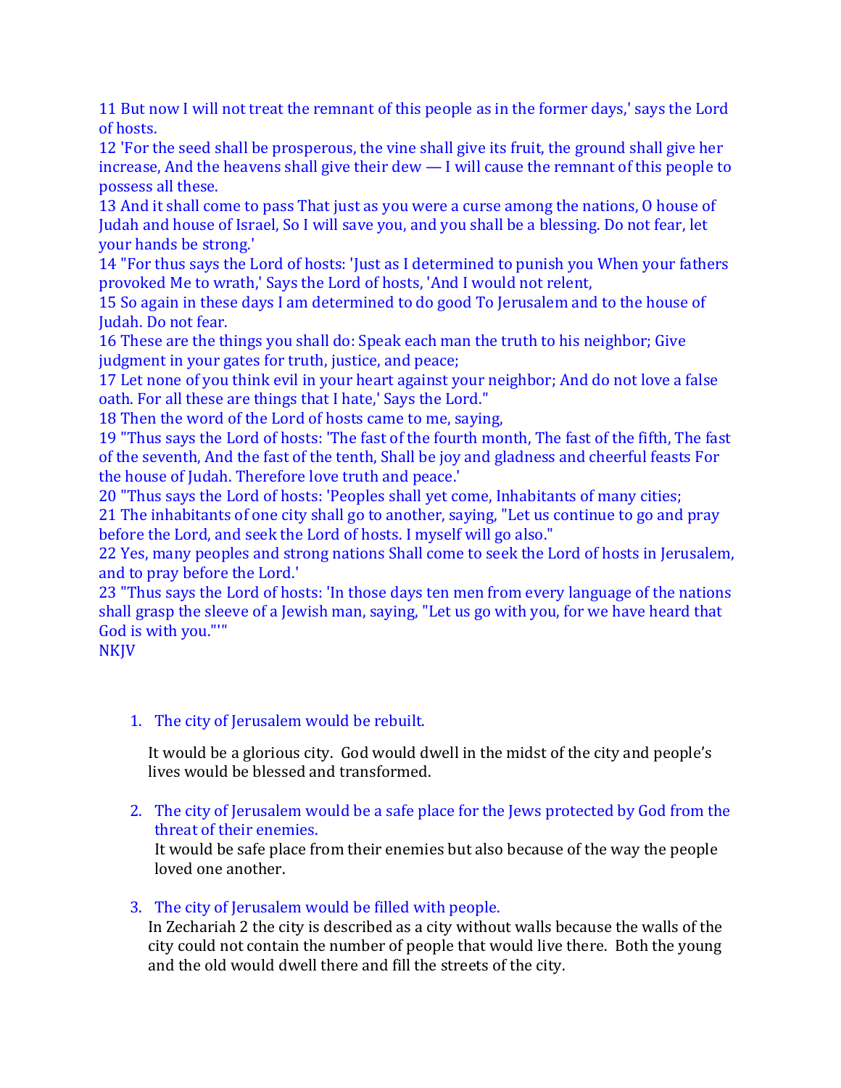11 But now I will not treat the remnant of this people as in the former days,' says the Lord of hosts.

12 'For the seed shall be prosperous, the vine shall give its fruit, the ground shall give her increase, And the heavens shall give their dew — I will cause the remnant of this people to possess all these.

13 And it shall come to pass That just as you were a curse among the nations, O house of Judah and house of Israel, So I will save you, and you shall be a blessing. Do not fear, let your hands be strong.'

14 "For thus says the Lord of hosts: 'Just as I determined to punish you When your fathers provoked Me to wrath,' Says the Lord of hosts, 'And I would not relent,

15 So again in these days I am determined to do good To Jerusalem and to the house of Judah. Do not fear.

16 These are the things you shall do: Speak each man the truth to his neighbor; Give judgment in your gates for truth, justice, and peace;

17 Let none of you think evil in your heart against your neighbor; And do not love a false oath. For all these are things that I hate,' Says the Lord."

18 Then the word of the Lord of hosts came to me, saying,

19 "Thus says the Lord of hosts: 'The fast of the fourth month, The fast of the fifth, The fast of the seventh, And the fast of the tenth, Shall be joy and gladness and cheerful feasts For the house of Judah. Therefore love truth and peace.'

20 "Thus says the Lord of hosts: 'Peoples shall yet come, Inhabitants of many cities; 21 The inhabitants of one city shall go to another, saying, "Let us continue to go and pray

before the Lord, and seek the Lord of hosts. I myself will go also."

22 Yes, many peoples and strong nations Shall come to seek the Lord of hosts in Jerusalem, and to pray before the Lord.'

23 "Thus says the Lord of hosts: 'In those days ten men from every language of the nations shall grasp the sleeve of a Jewish man, saying, "Let us go with you, for we have heard that God is with you."'"

NKJV

# 1. The city of Jerusalem would be rebuilt.

It would be a glorious city. God would dwell in the midst of the city and people's lives would be blessed and transformed.

2. The city of Jerusalem would be a safe place for the Jews protected by God from the threat of their enemies.

It would be safe place from their enemies but also because of the way the people loved one another.

# 3. The city of Jerusalem would be filled with people.

In Zechariah 2 the city is described as a city without walls because the walls of the city could not contain the number of people that would live there. Both the young and the old would dwell there and fill the streets of the city.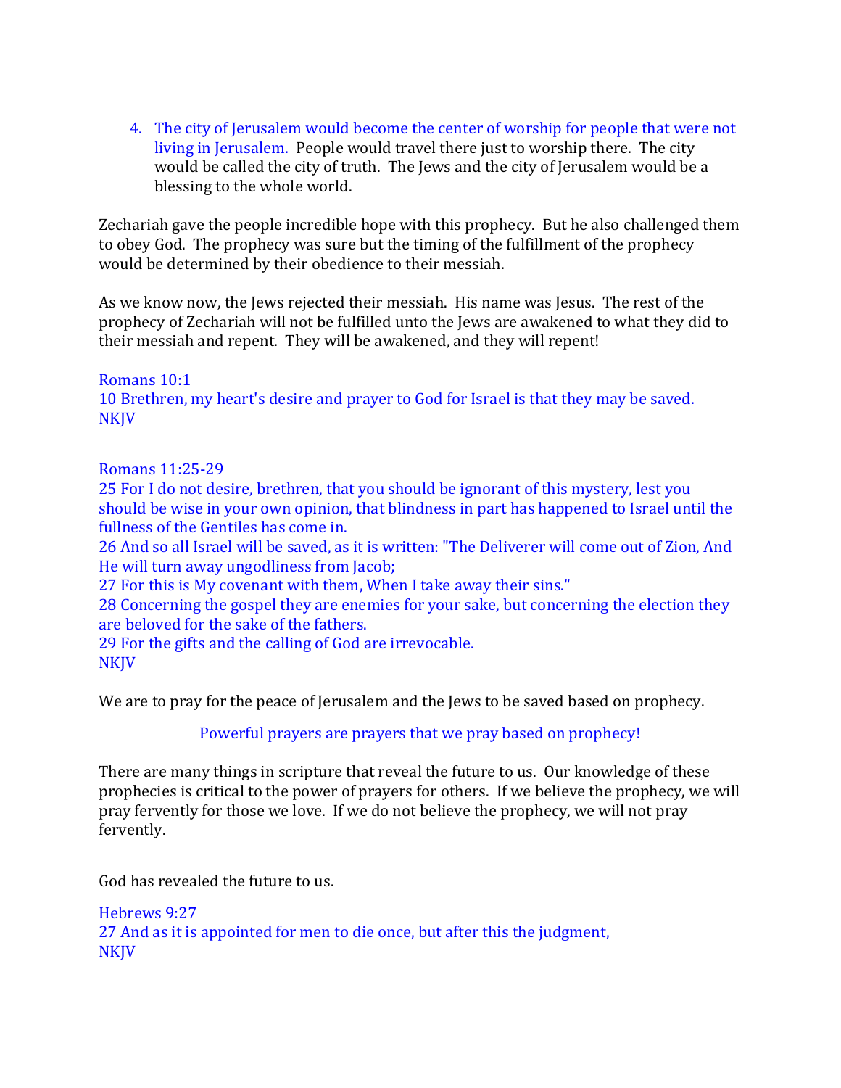4. The city of Jerusalem would become the center of worship for people that were not living in Jerusalem. People would travel there just to worship there. The city would be called the city of truth. The Jews and the city of Jerusalem would be a blessing to the whole world.

Zechariah gave the people incredible hope with this prophecy. But he also challenged them to obey God. The prophecy was sure but the timing of the fulfillment of the prophecy would be determined by their obedience to their messiah.

As we know now, the Jews rejected their messiah. His name was Jesus. The rest of the prophecy of Zechariah will not be fulfilled unto the Jews are awakened to what they did to their messiah and repent. They will be awakened, and they will repent!

Romans 10:1 10 Brethren, my heart's desire and prayer to God for Israel is that they may be saved. **NKJV** 

Romans 11:25-29

25 For I do not desire, brethren, that you should be ignorant of this mystery, lest you should be wise in your own opinion, that blindness in part has happened to Israel until the fullness of the Gentiles has come in.

26 And so all Israel will be saved, as it is written: "The Deliverer will come out of Zion, And He will turn away ungodliness from Jacob;

27 For this is My covenant with them, When I take away their sins."

28 Concerning the gospel they are enemies for your sake, but concerning the election they are beloved for the sake of the fathers.

29 For the gifts and the calling of God are irrevocable. NKJV

We are to pray for the peace of Jerusalem and the Jews to be saved based on prophecy.

Powerful prayers are prayers that we pray based on prophecy!

There are many things in scripture that reveal the future to us. Our knowledge of these prophecies is critical to the power of prayers for others. If we believe the prophecy, we will pray fervently for those we love. If we do not believe the prophecy, we will not pray fervently.

God has revealed the future to us.

Hebrews 9:27 27 And as it is appointed for men to die once, but after this the judgment, NKJV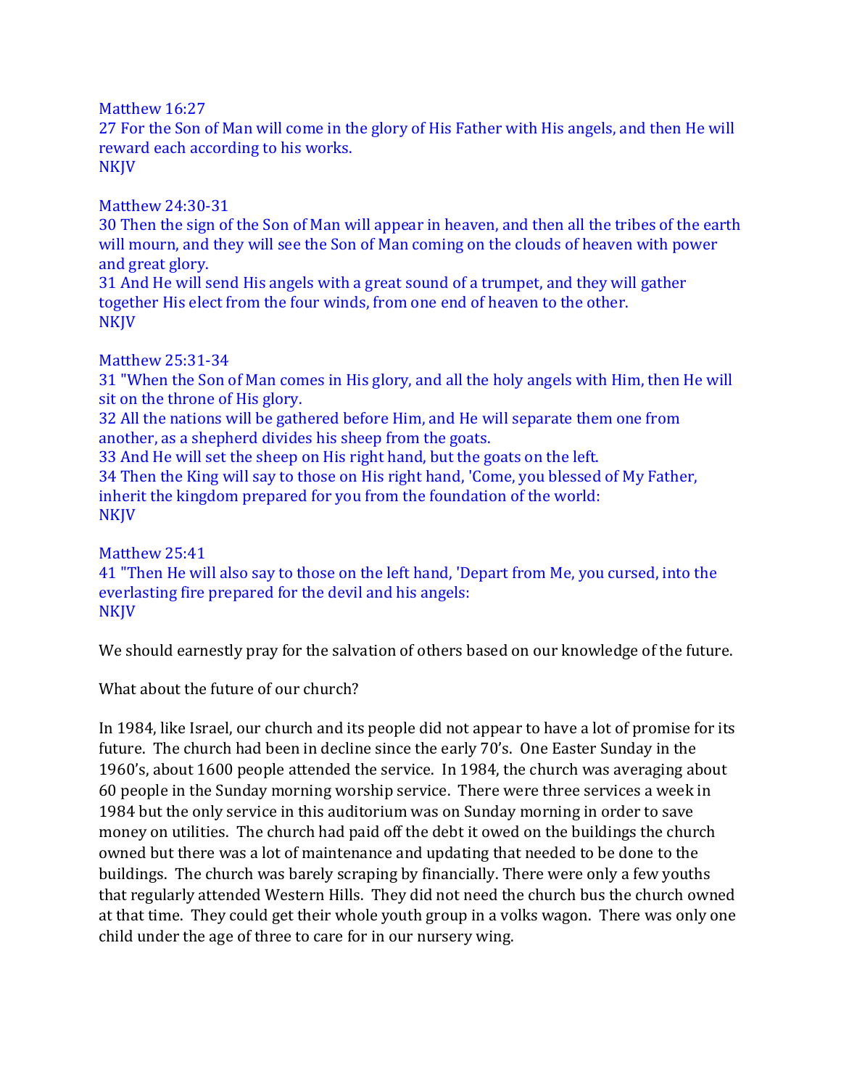Matthew 16:27

27 For the Son of Man will come in the glory of His Father with His angels, and then He will reward each according to his works. NKJV

Matthew 24:30-31

30 Then the sign of the Son of Man will appear in heaven, and then all the tribes of the earth will mourn, and they will see the Son of Man coming on the clouds of heaven with power and great glory.

31 And He will send His angels with a great sound of a trumpet, and they will gather together His elect from the four winds, from one end of heaven to the other. NKJV

### Matthew 25:31-34

31 "When the Son of Man comes in His glory, and all the holy angels with Him, then He will sit on the throne of His glory.

32 All the nations will be gathered before Him, and He will separate them one from another, as a shepherd divides his sheep from the goats.

33 And He will set the sheep on His right hand, but the goats on the left. 34 Then the King will say to those on His right hand, 'Come, you blessed of My Father, inherit the kingdom prepared for you from the foundation of the world: **NKJV** 

Matthew 25:41

41 "Then He will also say to those on the left hand, 'Depart from Me, you cursed, into the everlasting fire prepared for the devil and his angels: **NKJV** 

We should earnestly pray for the salvation of others based on our knowledge of the future.

What about the future of our church?

In 1984, like Israel, our church and its people did not appear to have a lot of promise for its future. The church had been in decline since the early 70's. One Easter Sunday in the 1960's, about 1600 people attended the service. In 1984, the church was averaging about 60 people in the Sunday morning worship service. There were three services a week in 1984 but the only service in this auditorium was on Sunday morning in order to save money on utilities. The church had paid off the debt it owed on the buildings the church owned but there was a lot of maintenance and updating that needed to be done to the buildings. The church was barely scraping by financially. There were only a few youths that regularly attended Western Hills. They did not need the church bus the church owned at that time. They could get their whole youth group in a volks wagon. There was only one child under the age of three to care for in our nursery wing.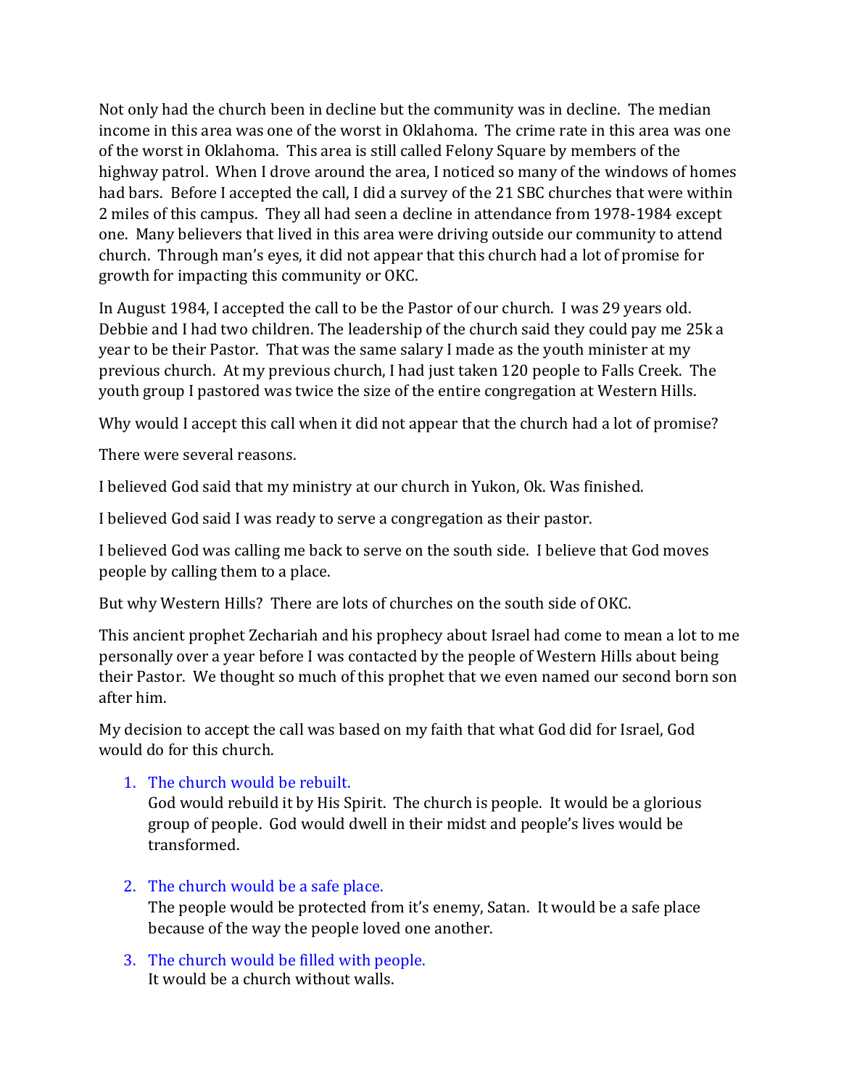Not only had the church been in decline but the community was in decline. The median income in this area was one of the worst in Oklahoma. The crime rate in this area was one of the worst in Oklahoma. This area is still called Felony Square by members of the highway patrol. When I drove around the area, I noticed so many of the windows of homes had bars. Before I accepted the call, I did a survey of the 21 SBC churches that were within 2 miles of this campus. They all had seen a decline in attendance from 1978-1984 except one. Many believers that lived in this area were driving outside our community to attend church. Through man's eyes, it did not appear that this church had a lot of promise for growth for impacting this community or OKC.

In August 1984, I accepted the call to be the Pastor of our church. I was 29 years old. Debbie and I had two children. The leadership of the church said they could pay me 25k a year to be their Pastor. That was the same salary I made as the youth minister at my previous church. At my previous church, I had just taken 120 people to Falls Creek. The youth group I pastored was twice the size of the entire congregation at Western Hills.

Why would I accept this call when it did not appear that the church had a lot of promise?

There were several reasons.

I believed God said that my ministry at our church in Yukon, Ok. Was finished.

I believed God said I was ready to serve a congregation as their pastor.

I believed God was calling me back to serve on the south side. I believe that God moves people by calling them to a place.

But why Western Hills? There are lots of churches on the south side of OKC.

This ancient prophet Zechariah and his prophecy about Israel had come to mean a lot to me personally over a year before I was contacted by the people of Western Hills about being their Pastor. We thought so much of this prophet that we even named our second born son after him.

My decision to accept the call was based on my faith that what God did for Israel, God would do for this church.

1. The church would be rebuilt.

God would rebuild it by His Spirit. The church is people. It would be a glorious group of people. God would dwell in their midst and people's lives would be transformed.

- 2. The church would be a safe place. The people would be protected from it's enemy, Satan. It would be a safe place because of the way the people loved one another.
- 3. The church would be filled with people. It would be a church without walls.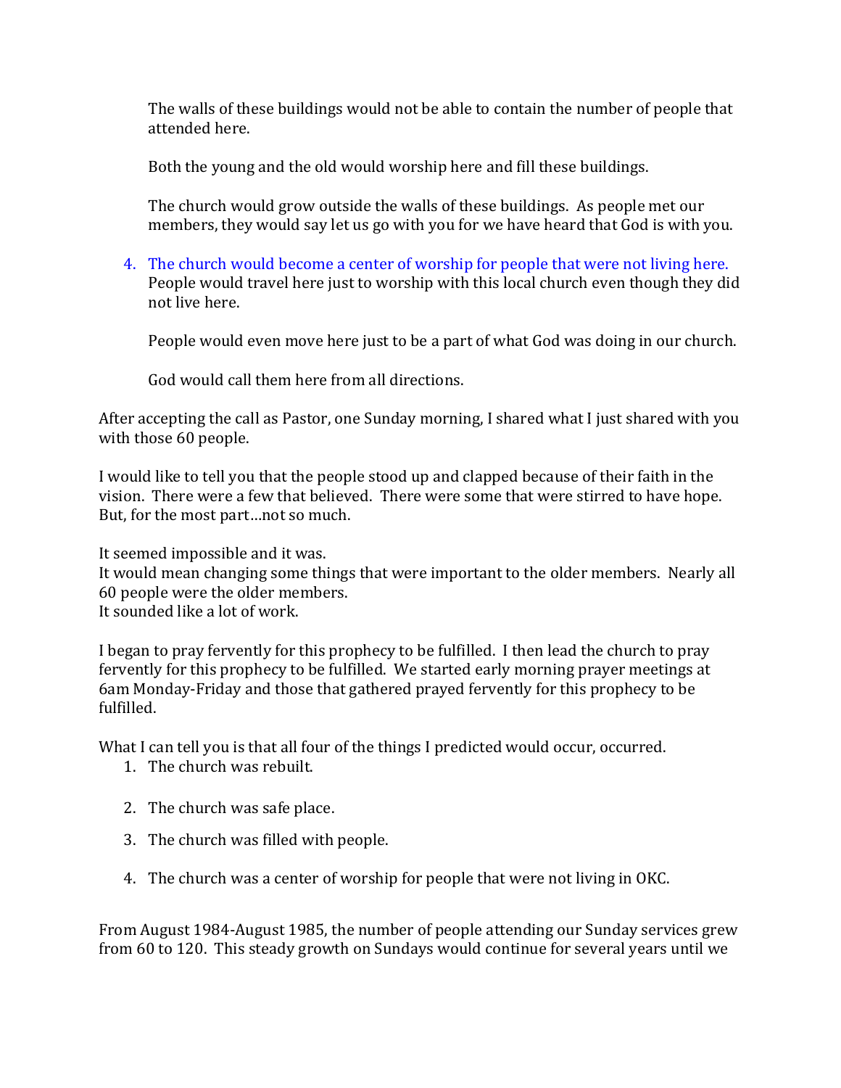The walls of these buildings would not be able to contain the number of people that attended here.

Both the young and the old would worship here and fill these buildings.

The church would grow outside the walls of these buildings. As people met our members, they would say let us go with you for we have heard that God is with you.

4. The church would become a center of worship for people that were not living here. People would travel here just to worship with this local church even though they did not live here.

People would even move here just to be a part of what God was doing in our church.

God would call them here from all directions.

After accepting the call as Pastor, one Sunday morning, I shared what I just shared with you with those 60 people.

I would like to tell you that the people stood up and clapped because of their faith in the vision. There were a few that believed. There were some that were stirred to have hope. But, for the most part…not so much.

It seemed impossible and it was.

It would mean changing some things that were important to the older members. Nearly all 60 people were the older members.

It sounded like a lot of work.

I began to pray fervently for this prophecy to be fulfilled. I then lead the church to pray fervently for this prophecy to be fulfilled. We started early morning prayer meetings at 6am Monday-Friday and those that gathered prayed fervently for this prophecy to be fulfilled.

What I can tell you is that all four of the things I predicted would occur, occurred.

- 1. The church was rebuilt.
- 2. The church was safe place.
- 3. The church was filled with people.
- 4. The church was a center of worship for people that were not living in OKC.

From August 1984-August 1985, the number of people attending our Sunday services grew from 60 to 120. This steady growth on Sundays would continue for several years until we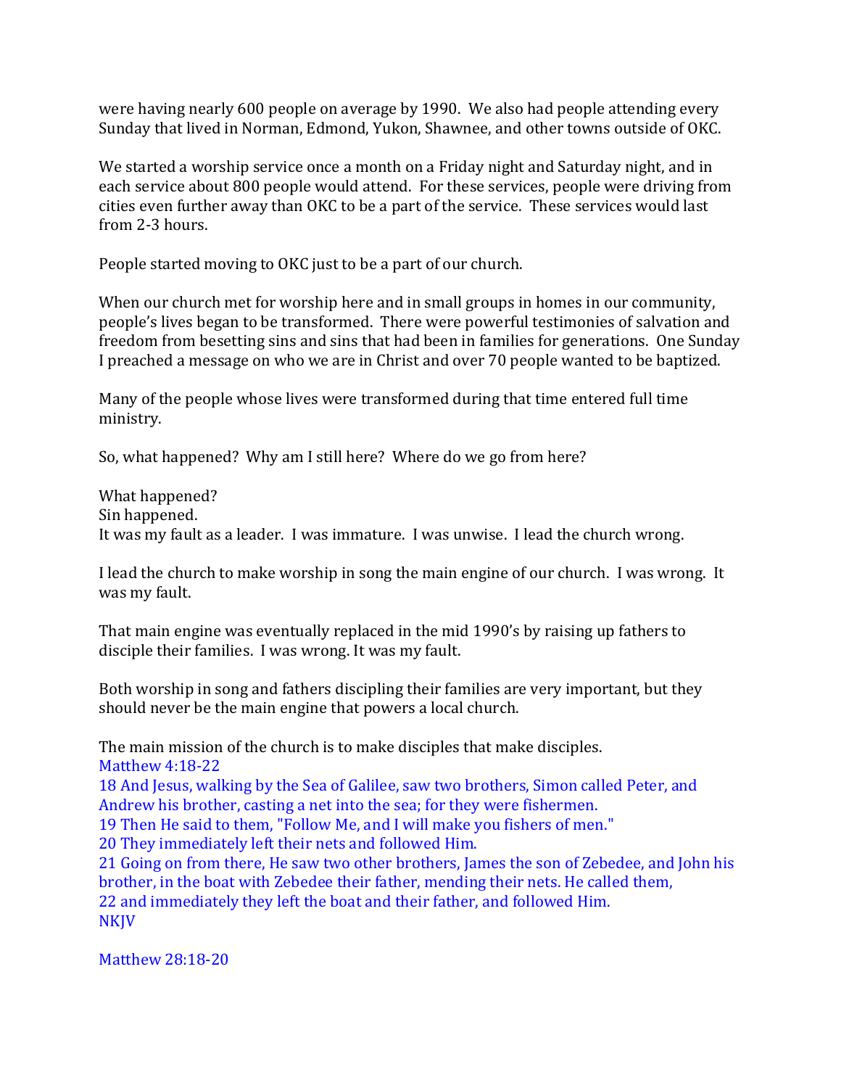were having nearly 600 people on average by 1990. We also had people attending every Sunday that lived in Norman, Edmond, Yukon, Shawnee, and other towns outside of OKC.

We started a worship service once a month on a Friday night and Saturday night, and in each service about 800 people would attend. For these services, people were driving from cities even further away than OKC to be a part of the service. These services would last from 2-3 hours.

People started moving to OKC just to be a part of our church.

When our church met for worship here and in small groups in homes in our community, people's lives began to be transformed. There were powerful testimonies of salvation and freedom from besetting sins and sins that had been in families for generations. One Sunday I preached a message on who we are in Christ and over 70 people wanted to be baptized.

Many of the people whose lives were transformed during that time entered full time ministry.

So, what happened? Why am I still here? Where do we go from here?

What happened? Sin happened. It was my fault as a leader. I was immature. I was unwise. I lead the church wrong.

I lead the church to make worship in song the main engine of our church. I was wrong. It was my fault.

That main engine was eventually replaced in the mid 1990's by raising up fathers to disciple their families. I was wrong. It was my fault.

Both worship in song and fathers discipling their families are very important, but they should never be the main engine that powers a local church.

The main mission of the church is to make disciples that make disciples. Matthew 4:18-22

18 And Jesus, walking by the Sea of Galilee, saw two brothers, Simon called Peter, and Andrew his brother, casting a net into the sea; for they were fishermen.

19 Then He said to them, "Follow Me, and I will make you fishers of men."

20 They immediately left their nets and followed Him.

21 Going on from there, He saw two other brothers, James the son of Zebedee, and John his brother, in the boat with Zebedee their father, mending their nets. He called them, 22 and immediately they left the boat and their father, and followed Him. NKJV

Matthew 28:18-20